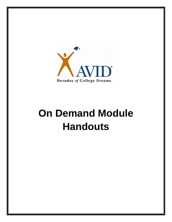

## **On Demand Module Handouts**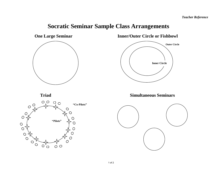## **Socratic Seminar Sample Class Arrangements**